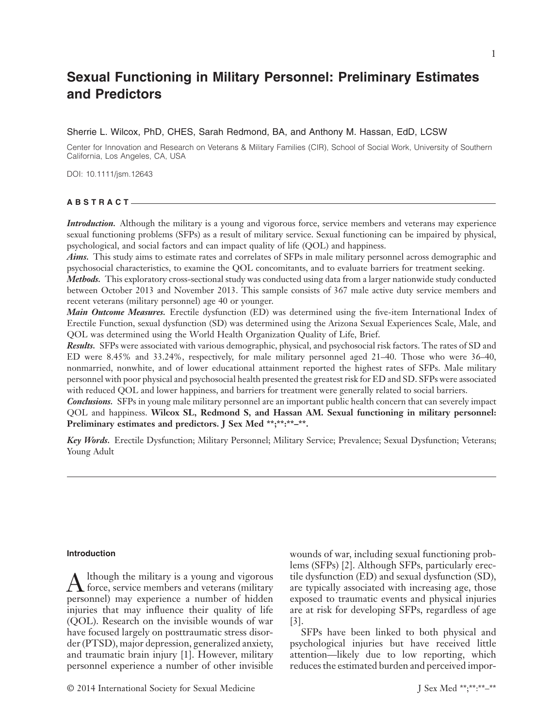# **Sexual Functioning in Military Personnel: Preliminary Estimates and Predictors**

# Sherrie L. Wilcox, PhD, CHES, Sarah Redmond, BA, and Anthony M. Hassan, EdD, LCSW

Center for Innovation and Research on Veterans & Military Families (CIR), School of Social Work, University of Southern California, Los Angeles, CA, USA

DOI: 10.1111/jsm.12643

# **ABSTRACT**

*Introduction.* Although the military is a young and vigorous force, service members and veterans may experience sexual functioning problems (SFPs) as a result of military service. Sexual functioning can be impaired by physical, psychological, and social factors and can impact quality of life (QOL) and happiness.

*Aims.* This study aims to estimate rates and correlates of SFPs in male military personnel across demographic and psychosocial characteristics, to examine the QOL concomitants, and to evaluate barriers for treatment seeking.

*Methods.* This exploratory cross-sectional study was conducted using data from a larger nationwide study conducted between October 2013 and November 2013. This sample consists of 367 male active duty service members and recent veterans (military personnel) age 40 or younger.

*Main Outcome Measures.* Erectile dysfunction (ED) was determined using the five-item International Index of Erectile Function, sexual dysfunction (SD) was determined using the Arizona Sexual Experiences Scale, Male, and QOL was determined using the World Health Organization Quality of Life, Brief.

*Results.* SFPs were associated with various demographic, physical, and psychosocial risk factors. The rates of SD and ED were 8.45% and 33.24%, respectively, for male military personnel aged 21–40. Those who were 36–40, nonmarried, nonwhite, and of lower educational attainment reported the highest rates of SFPs. Male military personnel with poor physical and psychosocial health presented the greatest risk for ED and SD. SFPs were associated with reduced QOL and lower happiness, and barriers for treatment were generally related to social barriers.

*Conclusions.* SFPs in young male military personnel are an important public health concern that can severely impact QOL and happiness. **Wilcox SL, Redmond S, and Hassan AM. Sexual functioning in military personnel: Preliminary estimates and predictors. J Sex Med \*\*;\*\*:\*\*–\*\*.**

*Key Words.* Erectile Dysfunction; Military Personnel; Military Service; Prevalence; Sexual Dysfunction; Veterans; Young Adult

#### **Introduction**

A lthough the military is a young and vigorous<br>force, service members and veterans (military<br>margaretal) may aggregate a sumplan of hidden personnel) may experience a number of hidden injuries that may influence their quality of life (QOL). Research on the invisible wounds of war have focused largely on posttraumatic stress disorder (PTSD), major depression, generalized anxiety, and traumatic brain injury [1]. However, military personnel experience a number of other invisible

wounds of war, including sexual functioning problems (SFPs) [2]. Although SFPs, particularly erectile dysfunction (ED) and sexual dysfunction (SD), are typically associated with increasing age, those exposed to traumatic events and physical injuries are at risk for developing SFPs, regardless of age [3].

SFPs have been linked to both physical and psychological injuries but have received little attention—likely due to low reporting, which reduces the estimated burden and perceived impor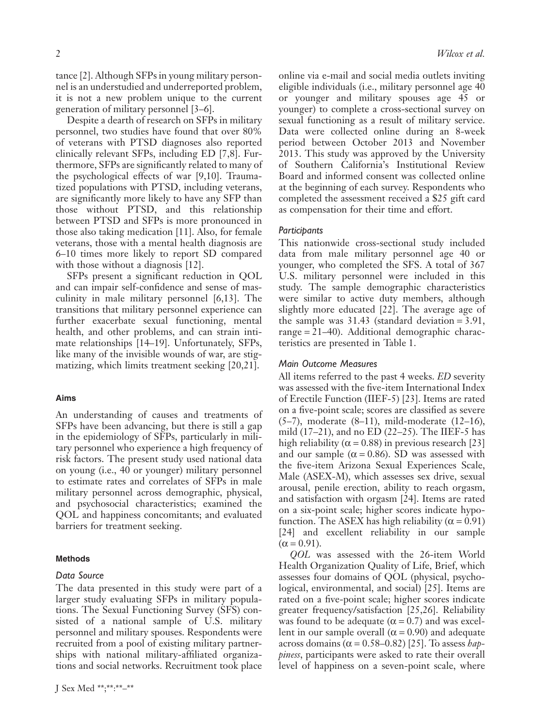tance [2]. Although SFPs in young military personnel is an understudied and underreported problem, it is not a new problem unique to the current generation of military personnel [3–6].

Despite a dearth of research on SFPs in military personnel, two studies have found that over 80% of veterans with PTSD diagnoses also reported clinically relevant SFPs, including ED [7,8]. Furthermore, SFPs are significantly related to many of the psychological effects of war [9,10]. Traumatized populations with PTSD, including veterans, are significantly more likely to have any SFP than those without PTSD, and this relationship between PTSD and SFPs is more pronounced in those also taking medication [11]. Also, for female veterans, those with a mental health diagnosis are 6–10 times more likely to report SD compared with those without a diagnosis [12].

SFPs present a significant reduction in QOL and can impair self-confidence and sense of masculinity in male military personnel [6,13]. The transitions that military personnel experience can further exacerbate sexual functioning, mental health, and other problems, and can strain intimate relationships [14–19]. Unfortunately, SFPs, like many of the invisible wounds of war, are stigmatizing, which limits treatment seeking [20,21].

# **Aims**

An understanding of causes and treatments of SFPs have been advancing, but there is still a gap in the epidemiology of SFPs, particularly in military personnel who experience a high frequency of risk factors. The present study used national data on young (i.e., 40 or younger) military personnel to estimate rates and correlates of SFPs in male military personnel across demographic, physical, and psychosocial characteristics; examined the QOL and happiness concomitants; and evaluated barriers for treatment seeking.

### **Methods**

#### *Data Source*

The data presented in this study were part of a larger study evaluating SFPs in military populations. The Sexual Functioning Survey (SFS) consisted of a national sample of U.S. military personnel and military spouses. Respondents were recruited from a pool of existing military partnerships with national military-affiliated organizations and social networks. Recruitment took place

online via e-mail and social media outlets inviting eligible individuals (i.e., military personnel age 40 or younger and military spouses age 45 or younger) to complete a cross-sectional survey on sexual functioning as a result of military service. Data were collected online during an 8-week period between October 2013 and November 2013. This study was approved by the University of Southern California's Institutional Review Board and informed consent was collected online at the beginning of each survey. Respondents who completed the assessment received a \$25 gift card as compensation for their time and effort.

#### *Participants*

This nationwide cross-sectional study included data from male military personnel age 40 or younger, who completed the SFS. A total of 367 U.S. military personnel were included in this study. The sample demographic characteristics were similar to active duty members, although slightly more educated [22]. The average age of the sample was 31.43 (standard deviation = 3.91, range = 21–40). Additional demographic characteristics are presented in Table 1.

## *Main Outcome Measures*

All items referred to the past 4 weeks. *ED* severity was assessed with the five-item International Index of Erectile Function (IIEF-5) [23]. Items are rated on a five-point scale; scores are classified as severe (5–7), moderate (8–11), mild-moderate (12–16), mild (17–21), and no ED (22–25). The IIEF-5 has high reliability ( $\alpha$  = 0.88) in previous research [23] and our sample ( $\alpha$  = 0.86). SD was assessed with the five-item Arizona Sexual Experiences Scale, Male (ASEX-M), which assesses sex drive, sexual arousal, penile erection, ability to reach orgasm, and satisfaction with orgasm [24]. Items are rated on a six-point scale; higher scores indicate hypofunction. The ASEX has high reliability ( $\alpha$  = 0.91) [24] and excellent reliability in our sample  $(\alpha = 0.91)$ .

*QOL* was assessed with the 26-item World Health Organization Quality of Life, Brief, which assesses four domains of QOL (physical, psychological, environmental, and social) [25]. Items are rated on a five-point scale; higher scores indicate greater frequency/satisfaction [25,26]. Reliability was found to be adequate ( $\alpha$  = 0.7) and was excellent in our sample overall ( $\alpha$  = 0.90) and adequate across domains ( $\alpha$  = 0.58–0.82) [25]. To assess *happiness*, participants were asked to rate their overall level of happiness on a seven-point scale, where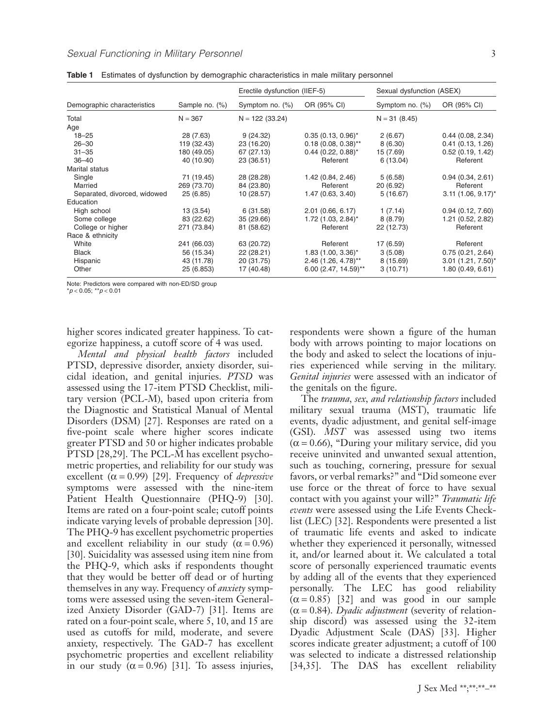|                              | Sample no. (%) | Erectile dysfunction (IIEF-5) |                                   | Sexual dysfunction (ASEX) |                                  |
|------------------------------|----------------|-------------------------------|-----------------------------------|---------------------------|----------------------------------|
| Demographic characteristics  |                | Symptom no. $(\%)$            | OR (95% CI)                       | Symptom no. $(\%)$        | OR (95% CI)                      |
| Total                        | $N = 367$      | $N = 122$ (33.24)             |                                   | $N = 31(8.45)$            |                                  |
| Age                          |                |                               |                                   |                           |                                  |
| $18 - 25$                    | 28 (7.63)      | 9(24.32)                      | $0.35(0.13, 0.96)^{*}$            | 2(6.67)                   | 0.44(0.08, 2.34)                 |
| $26 - 30$                    | 119 (32.43)    | 23 (16.20)                    | $0.18(0.08, 0.38)$ **             | 8(6.30)                   | 0.41(0.13, 1.26)                 |
| $31 - 35$                    | 180 (49.05)    | 67 (27.13)                    | $0.44$ (0.22, 0.88)*              | 15 (7.69)                 | 0.52(0.19, 1.42)                 |
| $36 - 40$                    | 40 (10.90)     | 23 (36.51)                    | Referent                          | 6(13.04)                  | Referent                         |
| Marital status               |                |                               |                                   |                           |                                  |
| Single                       | 71 (19.45)     | 28 (28.28)                    | 1.42 (0.84, 2.46)                 | 5(6.58)                   | 0.94(0.34, 2.61)                 |
| Married                      | 269 (73.70)    | 84 (23.80)                    | Referent                          | 20(6.92)                  | Referent                         |
| Separated, divorced, widowed | 25(6.85)       | 10 (28.57)                    | 1.47 (0.63, 3.40)                 | 5(16.67)                  | $3.11$ (1.06, 9.17) <sup>*</sup> |
| Education                    |                |                               |                                   |                           |                                  |
| High school                  | 13(3.54)       | 6(31.58)                      | 2.01(0.66, 6.17)                  | 1(7.14)                   | 0.94(0.12, 7.60)                 |
| Some college                 | 83 (22.62)     | 35 (29.66)                    | $1.72$ (1.03, 2.84) <sup>*</sup>  | 8(8.79)                   | 1.21 (0.52, 2.82)                |
| College or higher            | 271 (73.84)    | 81 (58.62)                    | Referent                          | 22 (12.73)                | Referent                         |
| Race & ethnicity             |                |                               |                                   |                           |                                  |
| White                        | 241 (66.03)    | 63 (20.72)                    | Referent                          | 17 (6.59)                 | Referent                         |
| <b>Black</b>                 | 56 (15.34)     | 22 (28.21)                    | $1.83$ (1.00, 3.36)*              | 3(5.08)                   | 0.75(0.21, 2.64)                 |
| Hispanic                     | 43 (11.78)     | 20 (31.75)                    | $2.46$ (1.26, 4.78) <sup>**</sup> | 8(15.69)                  | $3.01$ (1.21, 7.50)*             |
| Other                        | 25 (6.853)     | 17 (40.48)                    | $6.00$ (2.47, 14.59)**            | 3(10.71)                  | 1.80(0.49, 6.61)                 |

**Table 1** Estimates of dysfunction by demographic characteristics in male military personnel

Note: Predictors were compared with non-ED/SD group

\**p* < 0.05; \*\**p* < 0.01

higher scores indicated greater happiness. To categorize happiness, a cutoff score of 4 was used.

*Mental and physical health factors* included PTSD, depressive disorder, anxiety disorder, suicidal ideation, and genital injuries. *PTSD* was assessed using the 17-item PTSD Checklist, military version (PCL-M), based upon criteria from the Diagnostic and Statistical Manual of Mental Disorders (DSM) [27]. Responses are rated on a five-point scale where higher scores indicate greater PTSD and 50 or higher indicates probable PTSD [28,29]. The PCL-M has excellent psychometric properties, and reliability for our study was excellent  $(\alpha = 0.99)$  [29]. Frequency of *depressive* symptoms were assessed with the nine-item Patient Health Questionnaire (PHQ-9) [30]. Items are rated on a four-point scale; cutoff points indicate varying levels of probable depression [30]. The PHQ-9 has excellent psychometric properties and excellent reliability in our study ( $\alpha$  = 0.96) [30]. Suicidality was assessed using item nine from the PHQ-9, which asks if respondents thought that they would be better off dead or of hurting themselves in any way. Frequency of *anxiety* symptoms were assessed using the seven-item Generalized Anxiety Disorder (GAD-7) [31]. Items are rated on a four-point scale, where 5, 10, and 15 are used as cutoffs for mild, moderate, and severe anxiety, respectively. The GAD-7 has excellent psychometric properties and excellent reliability in our study  $(\alpha = 0.96)$  [31]. To assess injuries,

respondents were shown a figure of the human body with arrows pointing to major locations on the body and asked to select the locations of injuries experienced while serving in the military. *Genital injuries* were assessed with an indicator of the genitals on the figure.

The *trauma, sex, and relationship factors* included military sexual trauma (MST), traumatic life events, dyadic adjustment, and genital self-image (GSI). *MST* was assessed using two items  $(\alpha = 0.66)$ , "During your military service, did you receive uninvited and unwanted sexual attention, such as touching, cornering, pressure for sexual favors, or verbal remarks?" and "Did someone ever use force or the threat of force to have sexual contact with you against your will?" *Traumatic life events* were assessed using the Life Events Checklist (LEC) [32]. Respondents were presented a list of traumatic life events and asked to indicate whether they experienced it personally, witnessed it, and/or learned about it. We calculated a total score of personally experienced traumatic events by adding all of the events that they experienced personally. The LEC has good reliability  $(\alpha = 0.85)$  [32] and was good in our sample  $(\alpha = 0.84)$ . *Dyadic adjustment* (severity of relationship discord) was assessed using the 32-item Dyadic Adjustment Scale (DAS) [33]. Higher scores indicate greater adjustment; a cutoff of 100 was selected to indicate a distressed relationship [34,35]. The DAS has excellent reliability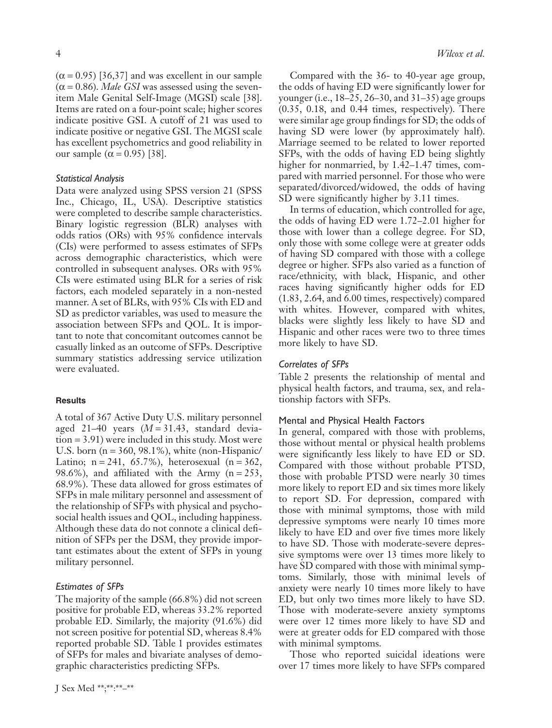$(\alpha = 0.95)$  [36,37] and was excellent in our sample  $(\alpha = 0.86)$ . *Male GSI* was assessed using the sevenitem Male Genital Self-Image (MGSI) scale [38]. Items are rated on a four-point scale; higher scores indicate positive GSI. A cutoff of 21 was used to indicate positive or negative GSI. The MGSI scale has excellent psychometrics and good reliability in our sample  $(α = 0.95)$  [38].

#### *Statistical Analysis*

Data were analyzed using SPSS version 21 (SPSS Inc., Chicago, IL, USA). Descriptive statistics were completed to describe sample characteristics. Binary logistic regression (BLR) analyses with odds ratios (ORs) with 95% confidence intervals (CIs) were performed to assess estimates of SFPs across demographic characteristics, which were controlled in subsequent analyses. ORs with 95% CIs were estimated using BLR for a series of risk factors, each modeled separately in a non-nested manner. A set of BLRs, with 95% CIs with ED and SD as predictor variables, was used to measure the association between SFPs and QOL. It is important to note that concomitant outcomes cannot be casually linked as an outcome of SFPs. Descriptive summary statistics addressing service utilization were evaluated.

## **Results**

A total of 367 Active Duty U.S. military personnel aged 21–40 years  $(M = 31.43$ , standard deviation = 3.91) were included in this study. Most were U.S. born ( $n = 360, 98.1\%$ ), white (non-Hispanic/ Latino;  $n = 241, 65.7\%)$ , heterosexual  $(n = 362,$ 98.6%), and affiliated with the Army  $(n = 253)$ , 68.9%). These data allowed for gross estimates of SFPs in male military personnel and assessment of the relationship of SFPs with physical and psychosocial health issues and QOL, including happiness. Although these data do not connote a clinical definition of SFPs per the DSM, they provide important estimates about the extent of SFPs in young military personnel.

## *Estimates of SFPs*

The majority of the sample (66.8%) did not screen positive for probable ED, whereas 33.2% reported probable ED. Similarly, the majority (91.6%) did not screen positive for potential SD, whereas 8.4% reported probable SD. Table 1 provides estimates of SFPs for males and bivariate analyses of demographic characteristics predicting SFPs.

Compared with the 36- to 40-year age group, the odds of having ED were significantly lower for younger (i.e., 18–25, 26–30, and 31–35) age groups (0.35, 0.18, and 0.44 times, respectively). There were similar age group findings for SD; the odds of having SD were lower (by approximately half). Marriage seemed to be related to lower reported SFPs, with the odds of having ED being slightly higher for nonmarried, by 1.42–1.47 times, compared with married personnel. For those who were separated/divorced/widowed, the odds of having SD were significantly higher by 3.11 times.

In terms of education, which controlled for age, the odds of having ED were 1.72–2.01 higher for those with lower than a college degree. For SD, only those with some college were at greater odds of having SD compared with those with a college degree or higher. SFPs also varied as a function of race/ethnicity, with black, Hispanic, and other races having significantly higher odds for ED (1.83, 2.64, and 6.00 times, respectively) compared with whites. However, compared with whites, blacks were slightly less likely to have SD and Hispanic and other races were two to three times more likely to have SD.

#### *Correlates of SFPs*

Table 2 presents the relationship of mental and physical health factors, and trauma, sex, and relationship factors with SFPs.

#### Mental and Physical Health Factors

In general, compared with those with problems, those without mental or physical health problems were significantly less likely to have ED or SD. Compared with those without probable PTSD, those with probable PTSD were nearly 30 times more likely to report ED and six times more likely to report SD. For depression, compared with those with minimal symptoms, those with mild depressive symptoms were nearly 10 times more likely to have ED and over five times more likely to have SD. Those with moderate-severe depressive symptoms were over 13 times more likely to have SD compared with those with minimal symptoms. Similarly, those with minimal levels of anxiety were nearly 10 times more likely to have ED, but only two times more likely to have SD. Those with moderate-severe anxiety symptoms were over 12 times more likely to have SD and were at greater odds for ED compared with those with minimal symptoms.

Those who reported suicidal ideations were over 17 times more likely to have SFPs compared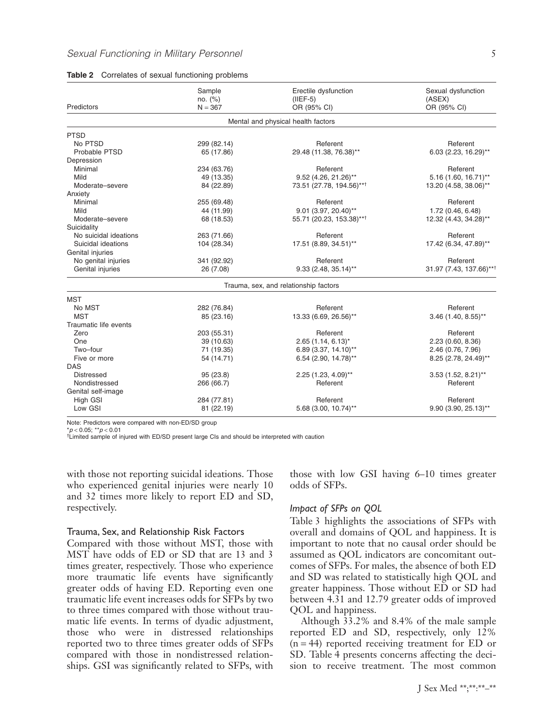|                       | Sample<br>no. (%)        | Erectile dysfunction<br>$(IIEF-5)$    | Sexual dysfunction<br>(ASEX) |  |
|-----------------------|--------------------------|---------------------------------------|------------------------------|--|
| Predictors            | $N = 367$<br>OR (95% CI) |                                       | OR (95% CI)                  |  |
|                       |                          | Mental and physical health factors    |                              |  |
| <b>PTSD</b>           |                          |                                       |                              |  |
| No PTSD               | 299 (82.14)              | Referent                              | Referent                     |  |
| Probable PTSD         | 65 (17.86)               | 29.48 (11.38, 76.38)**                | 6.03 (2.23, 16.29)**         |  |
| Depression            |                          |                                       |                              |  |
| Minimal               | 234 (63.76)              | Referent                              | Referent                     |  |
| Mild                  | 49 (13.35)               | 9.52 (4.26, 21.26)**                  | $5.16$ (1.60, 16.71)**       |  |
| Moderate-severe       | 84 (22.89)               | 73.51 (27.78, 194.56)**1              | 13.20 (4.58, 38.06)**        |  |
| Anxiety               |                          |                                       |                              |  |
| Minimal               | 255 (69.48)              | Referent                              | Referent                     |  |
| Mild                  | 44 (11.99)               | 9.01 (3.97, 20.40)**                  | 1.72 (0.46, 6.48)            |  |
| Moderate-severe       | 68 (18.53)               | 55.71 (20.23, 153.38)**†              | 12.32 (4.43, 34.28)**        |  |
| Suicidality           |                          |                                       |                              |  |
| No suicidal ideations | 263 (71.66)              | Referent                              | Referent                     |  |
| Suicidal ideations    | 104 (28.34)              | 17.51 (8.89, 34.51)**                 | 17.42 (6.34, 47.89)**        |  |
| Genital injuries      |                          |                                       |                              |  |
| No genital injuries   | 341 (92.92)              | Referent                              | Referent                     |  |
| Genital injuries      | 26 (7.08)                | $9.33(2.48, 35.14)$ **                | 31.97 (7.43, 137.66)**†      |  |
|                       |                          | Trauma, sex, and relationship factors |                              |  |
| <b>MST</b>            |                          |                                       |                              |  |
| No MST                | 282 (76.84)              | Referent                              | Referent                     |  |
| <b>MST</b>            | 85 (23.16)               | 13.33 (6.69, 26.56)**                 | $3.46$ (1.40, 8.55)**        |  |
| Traumatic life events |                          |                                       |                              |  |
| Zero                  | 203 (55.31)              | Referent                              | Referent                     |  |
| One                   | 39 (10.63)               | $2.65(1.14, 6.13)^{*}$                | 2.23 (0.60, 8.36)            |  |
| Two-four              | 71 (19.35)               | 6.89 (3.37, 14.10)**                  | 2.46 (0.76, 7.96)            |  |
| Five or more          | 54 (14.71)               | 6.54 (2.90, 14.78)**                  | 8.25 (2.78, 24.49)**         |  |
| <b>DAS</b>            |                          |                                       |                              |  |
| <b>Distressed</b>     | 95(23.8)                 | 2.25 (1.23, 4.09)**                   | $3.53$ (1.52, 8.21)**        |  |
| Nondistressed         | 266 (66.7)               | Referent                              | Referent                     |  |
| Genital self-image    |                          |                                       |                              |  |
| High GSI              | 284 (77.81)              | Referent                              | Referent                     |  |
| Low GSI               | 81 (22.19)               | 5.68 (3.00, 10.74)**                  | $9.90(3.90, 25.13)$ **       |  |

| Table 2 |  |  |  | Correlates of sexual functioning problems |  |  |
|---------|--|--|--|-------------------------------------------|--|--|
|---------|--|--|--|-------------------------------------------|--|--|

Note: Predictors were compared with non-ED/SD group

\**p* < 0.05; \*\**p* < 0.01

†Limited sample of injured with ED/SD present large CIs and should be interpreted with caution

with those not reporting suicidal ideations. Those who experienced genital injuries were nearly 10 and 32 times more likely to report ED and SD, respectively.

## Trauma, Sex, and Relationship Risk Factors

Compared with those without MST, those with MST have odds of ED or SD that are 13 and 3 times greater, respectively. Those who experience more traumatic life events have significantly greater odds of having ED. Reporting even one traumatic life event increases odds for SFPs by two to three times compared with those without traumatic life events. In terms of dyadic adjustment, those who were in distressed relationships reported two to three times greater odds of SFPs compared with those in nondistressed relationships. GSI was significantly related to SFPs, with

those with low GSI having 6–10 times greater odds of SFPs.

## *Impact of SFPs on QOL*

Table 3 highlights the associations of SFPs with overall and domains of QOL and happiness. It is important to note that no causal order should be assumed as QOL indicators are concomitant outcomes of SFPs. For males, the absence of both ED and SD was related to statistically high QOL and greater happiness. Those without ED or SD had between 4.31 and 12.79 greater odds of improved QOL and happiness.

Although 33.2% and 8.4% of the male sample reported ED and SD, respectively, only 12%  $(n = 44)$  reported receiving treatment for ED or SD. Table 4 presents concerns affecting the decision to receive treatment. The most common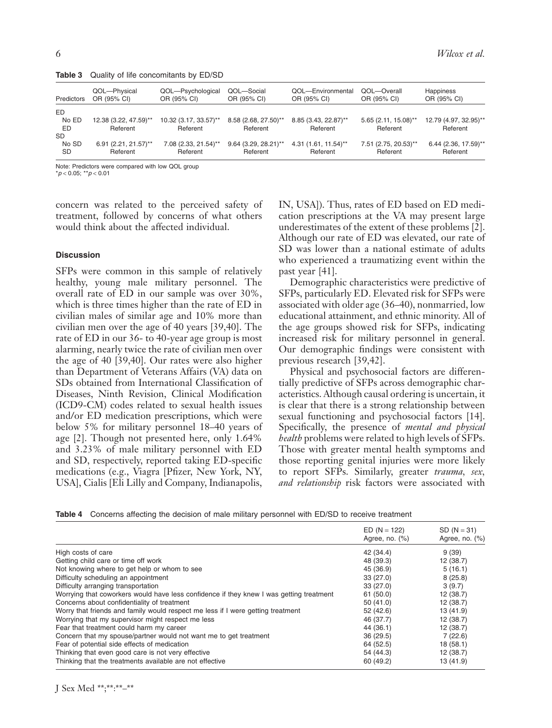| Predictors   | QOL-Physical<br>OR (95% CI)        | QOL-Psychological<br>OR (95% CI) | QOL-Social<br>OR (95% CI)          | QOL-Environmental<br>OR (95% CI)              | QOL-Overall<br>OR (95% CI)       | Happiness<br>OR (95% CI)                       |
|--------------|------------------------------------|----------------------------------|------------------------------------|-----------------------------------------------|----------------------------------|------------------------------------------------|
| ED.<br>No ED | 12.38 (3.22, 47.59)**              | 10.32 (3.17, 33.57)**            | 8.58 (2.68, 27.50)**               | 8.85 (3.43, 22.87)**                          | $5.65(2.11, 15.08)$ **           | 12.79 (4.97, 32.95)**                          |
| ED<br>SD     | Referent                           | Referent                         | Referent                           | Referent                                      | Referent                         | Referent                                       |
| No SD<br>SD  | $6.91(2.21, 21.57)$ **<br>Referent | 7.08 (2.33, 21.54)**<br>Referent | $9.64$ (3.29, 28.21)**<br>Referent | $4.31(1.61, 11.54)$ <sup>**</sup><br>Referent | 7.51 (2.75, 20.53)**<br>Referent | $6.44$ (2.36, 17.59) <sup>**</sup><br>Referent |

**Table 3** Quality of life concomitants by ED/SD

Note: Predictors were compared with low QOL group

\**p* < 0.05; \*\**p* < 0.01

concern was related to the perceived safety of treatment, followed by concerns of what others would think about the affected individual.

#### **Discussion**

SFPs were common in this sample of relatively healthy, young male military personnel. The overall rate of ED in our sample was over 30%, which is three times higher than the rate of ED in civilian males of similar age and 10% more than civilian men over the age of 40 years [39,40]. The rate of ED in our 36- to 40-year age group is most alarming, nearly twice the rate of civilian men over the age of 40 [39,40]. Our rates were also higher than Department of Veterans Affairs (VA) data on SDs obtained from International Classification of Diseases, Ninth Revision, Clinical Modification (ICD9-CM) codes related to sexual health issues and/or ED medication prescriptions, which were below 5% for military personnel 18–40 years of age [2]. Though not presented here, only 1.64% and 3.23% of male military personnel with ED and SD, respectively, reported taking ED-specific medications (e.g., Viagra [Pfizer, New York, NY, USA], Cialis [Eli Lilly and Company, Indianapolis,

IN, USA]). Thus, rates of ED based on ED medication prescriptions at the VA may present large underestimates of the extent of these problems [2]. Although our rate of ED was elevated, our rate of SD was lower than a national estimate of adults who experienced a traumatizing event within the past year [41].

Demographic characteristics were predictive of SFPs, particularly ED. Elevated risk for SFPs were associated with older age (36–40), nonmarried, low educational attainment, and ethnic minority. All of the age groups showed risk for SFPs, indicating increased risk for military personnel in general. Our demographic findings were consistent with previous research [39,42].

Physical and psychosocial factors are differentially predictive of SFPs across demographic characteristics. Although causal ordering is uncertain, it is clear that there is a strong relationship between sexual functioning and psychosocial factors [14]. Specifically, the presence of *mental and physical health* problems were related to high levels of SFPs. Those with greater mental health symptoms and those reporting genital injuries were more likely to report SFPs. Similarly, greater *trauma, sex, and relationship* risk factors were associated with

**Table 4** Concerns affecting the decision of male military personnel with ED/SD to receive treatment

|                                                                                         | $ED (N = 122)$<br>Agree, no. (%) | $SD (N = 31)$<br>Agree, no. (%) |
|-----------------------------------------------------------------------------------------|----------------------------------|---------------------------------|
| High costs of care                                                                      | 42 (34.4)                        | 9(39)                           |
| Getting child care or time off work                                                     | 48 (39.3)                        | 12 (38.7)                       |
| Not knowing where to get help or whom to see                                            | 45 (36.9)                        | 5(16.1)                         |
| Difficulty scheduling an appointment                                                    | 33(27.0)                         | 8(25.8)                         |
| Difficulty arranging transportation                                                     | 33(27.0)                         | 3(9.7)                          |
| Worrying that coworkers would have less confidence if they knew I was getting treatment | 61(50.0)                         | 12(38.7)                        |
| Concerns about confidentiality of treatment                                             | 50(41.0)                         | 12 (38.7)                       |
| Worry that friends and family would respect me less if I were getting treatment         | 52 (42.6)                        | 13 (41.9)                       |
| Worrying that my supervisor might respect me less                                       | 46 (37.7)                        | 12(38.7)                        |
| Fear that treatment could harm my career                                                | 44 (36.1)                        | 12 (38.7)                       |
| Concern that my spouse/partner would not want me to get treatment                       | 36(29.5)                         | 7(22.6)                         |
| Fear of potential side effects of medication                                            | 64 (52.5)                        | 18(58.1)                        |
| Thinking that even good care is not very effective                                      | 54 (44.3)                        | 12(38.7)                        |
| Thinking that the treatments available are not effective                                | 60 (49.2)                        | 13 (41.9)                       |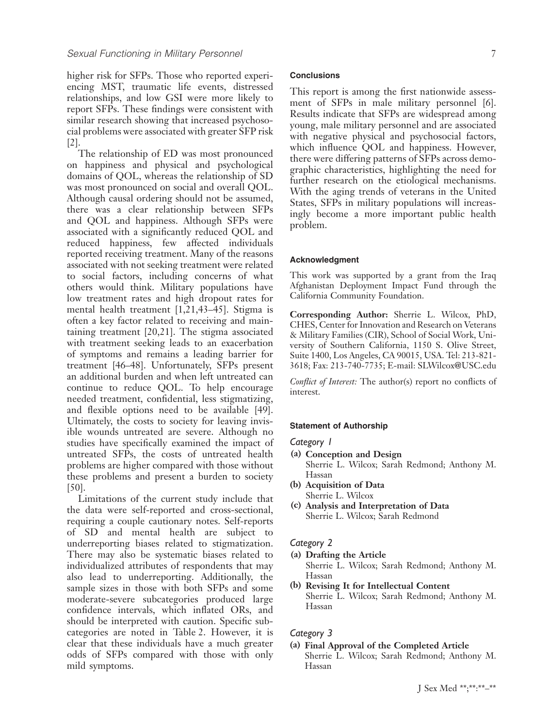higher risk for SFPs. Those who reported experiencing MST, traumatic life events, distressed relationships, and low GSI were more likely to report SFPs. These findings were consistent with similar research showing that increased psychosocial problems were associated with greater SFP risk [2].

The relationship of ED was most pronounced on happiness and physical and psychological domains of QOL, whereas the relationship of SD was most pronounced on social and overall QOL. Although causal ordering should not be assumed, there was a clear relationship between SFPs and QOL and happiness. Although SFPs were associated with a significantly reduced QOL and reduced happiness, few affected individuals reported receiving treatment. Many of the reasons associated with not seeking treatment were related to social factors, including concerns of what others would think. Military populations have low treatment rates and high dropout rates for mental health treatment [1,21,43–45]. Stigma is often a key factor related to receiving and maintaining treatment [20,21]. The stigma associated with treatment seeking leads to an exacerbation of symptoms and remains a leading barrier for treatment [46–48]. Unfortunately, SFPs present an additional burden and when left untreated can continue to reduce QOL. To help encourage needed treatment, confidential, less stigmatizing, and flexible options need to be available [49]. Ultimately, the costs to society for leaving invisible wounds untreated are severe. Although no studies have specifically examined the impact of untreated SFPs, the costs of untreated health problems are higher compared with those without these problems and present a burden to society [50].

Limitations of the current study include that the data were self-reported and cross-sectional, requiring a couple cautionary notes. Self-reports of SD and mental health are subject to underreporting biases related to stigmatization. There may also be systematic biases related to individualized attributes of respondents that may also lead to underreporting. Additionally, the sample sizes in those with both SFPs and some moderate-severe subcategories produced large confidence intervals, which inflated ORs, and should be interpreted with caution. Specific subcategories are noted in Table 2. However, it is clear that these individuals have a much greater odds of SFPs compared with those with only mild symptoms.

## **Conclusions**

This report is among the first nationwide assessment of SFPs in male military personnel [6]. Results indicate that SFPs are widespread among young, male military personnel and are associated with negative physical and psychosocial factors, which influence QOL and happiness. However, there were differing patterns of SFPs across demographic characteristics, highlighting the need for further research on the etiological mechanisms. With the aging trends of veterans in the United States, SFPs in military populations will increasingly become a more important public health problem.

#### **Acknowledgment**

This work was supported by a grant from the Iraq Afghanistan Deployment Impact Fund through the California Community Foundation.

**Corresponding Author:** Sherrie L. Wilcox, PhD, CHES, Center for Innovation and Research on Veterans & Military Families (CIR), School of Social Work, University of Southern California, 1150 S. Olive Street, Suite 1400, Los Angeles, CA 90015, USA. Tel: 213-821- 3618; Fax: 213-740-7735; E-mail: [SLWilcox@USC.edu](mailto:SLWilcox@USC.edu)

*Conflict of Interest:* The author(s) report no conflicts of interest.

#### **Statement of Authorship**

#### *Category 1*

- **(a) Conception and Design** Sherrie L. Wilcox; Sarah Redmond; Anthony M. Hassan
- **(b) Acquisition of Data** Sherrie L. Wilcox
- **(c) Analysis and Interpretation of Data** Sherrie L. Wilcox; Sarah Redmond

#### *Category 2*

- **(a) Drafting the Article**
	- Sherrie L. Wilcox; Sarah Redmond; Anthony M. Hassan
- **(b) Revising It for Intellectual Content** Sherrie L. Wilcox; Sarah Redmond; Anthony M. Hassan

# *Category 3*

**(a) Final Approval of the Completed Article** Sherrie L. Wilcox; Sarah Redmond; Anthony M. Hassan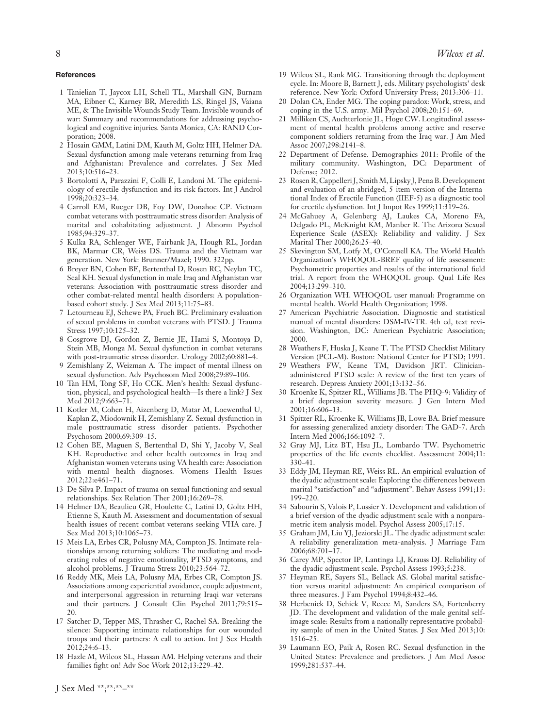#### **References**

- 1 Tanielian T, Jaycox LH, Schell TL, Marshall GN, Burnam MA, Eibner C, Karney BR, Meredith LS, Ringel JS, Vaiana ME, & The Invisible Wounds Study Team. Invisible wounds of war: Summary and recommendations for addressing psychological and cognitive injuries. Santa Monica, CA: RAND Corporation; 2008.
- 2 Hosain GMM, Latini DM, Kauth M, Goltz HH, Helmer DA. Sexual dysfunction among male veterans returning from Iraq and Afghanistan: Prevalence and correlates. J Sex Med 2013;10:516–23.
- 3 Bortolotti A, Parazzini F, Colli E, Landoni M. The epidemiology of erectile dysfunction and its risk factors. Int J Androl 1998;20:323–34.
- 4 Carroll EM, Rueger DB, Foy DW, Donahoe CP. Vietnam combat veterans with posttraumatic stress disorder: Analysis of marital and cohabitating adjustment. J Abnorm Psychol 1985;94:329–37.
- 5 Kulka RA, Schlenger WE, Fairbank JA, Hough RL, Jordan BK, Marmar CR, Weiss DS. Trauma and the Vietnam war generation. New York: Brunner/Mazel; 1990. 322pp.
- 6 Breyer BN, Cohen BE, Bertenthal D, Rosen RC, Neylan TC, Seal KH. Sexual dysfunction in male Iraq and Afghanistan war veterans: Association with posttraumatic stress disorder and other combat-related mental health disorders: A populationbased cohort study. J Sex Med 2013;11:75–83.
- 7 Letourneau EJ, Schewe PA, Frueh BC. Preliminary evaluation of sexual problems in combat veterans with PTSD. J Trauma Stress 1997;10:125–32.
- 8 Cosgrove DJ, Gordon Z, Bernie JE, Hami S, Montoya D, Stein MB, Monga M. Sexual dysfunction in combat veterans with post-traumatic stress disorder. Urology 2002;60:881–4.
- 9 Zemishlany Z, Weizman A. The impact of mental illness on sexual dysfunction. Adv Psychosom Med 2008;29:89–106.
- 10 Tan HM, Tong SF, Ho CCK. Men's health: Sexual dysfunction, physical, and psychological health—Is there a link? J Sex Med 2012;9:663–71.
- 11 Kotler M, Cohen H, Aizenberg D, Matar M, Loewenthal U, Kaplan Z, Miodownik H, Zemishlany Z. Sexual dysfunction in male posttraumatic stress disorder patients. Psychother Psychosom 2000;69:309–15.
- 12 Cohen BE, Maguen S, Bertenthal D, Shi Y, Jacoby V, Seal KH. Reproductive and other health outcomes in Iraq and Afghanistan women veterans using VA health care: Association with mental health diagnoses. Womens Health Issues 2012;22:e461–71.
- 13 De Silva P. Impact of trauma on sexual functioning and sexual relationships. Sex Relation Ther 2001;16:269–78.
- 14 Helmer DA, Beaulieu GR, Houlette C, Latini D, Goltz HH, Etienne S, Kauth M. Assessment and documentation of sexual health issues of recent combat veterans seeking VHA care. J Sex Med 2013;10:1065–73.
- 15 Meis LA, Erbes CR, Polusny MA, Compton JS. Intimate relationships among returning soldiers: The mediating and moderating roles of negative emotionality, PTSD symptoms, and alcohol problems. J Trauma Stress 2010;23:564–72.
- 16 Reddy MK, Meis LA, Polusny MA, Erbes CR, Compton JS. Associations among experiential avoidance, couple adjustment, and interpersonal aggression in returning Iraqi war veterans and their partners. J Consult Clin Psychol 2011;79:515– 20.
- 17 Satcher D, Tepper MS, Thrasher C, Rachel SA. Breaking the silence: Supporting intimate relationships for our wounded troops and their partners: A call to action. Int J Sex Health 2012;24:6–13.
- 18 Hazle M, Wilcox SL, Hassan AM. Helping veterans and their families fight on! Adv Soc Work 2012;13:229–42.
- 19 Wilcox SL, Rank MG. Transitioning through the deployment cycle. In: Moore B, Barnett J, eds. Military psychologists' desk reference. New York: Oxford University Press; 2013:306–11.
- 20 Dolan CA, Ender MG. The coping paradox: Work, stress, and coping in the U.S. army. Mil Psychol 2008;20:151–69.
- 21 Milliken CS, Auchterlonie JL, Hoge CW. Longitudinal assessment of mental health problems among active and reserve component soldiers returning from the Iraq war. J Am Med Assoc 2007;298:2141–8.
- 22 Department of Defense. Demographics 2011: Profile of the military community. Washington, DC: Department of Defense; 2012.
- 23 Rosen R, Cappelleri J, Smith M, Lipsky J, Pena B. Development and evaluation of an abridged, 5-item version of the International Index of Erectile Function (IIEF-5) as a diagnostic tool for erectile dysfunction. Int J Impot Res 1999;11:319–26.
- 24 McGahuey A, Gelenberg AJ, Laukes CA, Moreno FA, Delgado PL, McKnight KM, Manber R. The Arizona Sexual Experience Scale (ASEX): Reliability and validity. J Sex Marital Ther 2000;26:25–40.
- 25 Skevington SM, Lotfy M, O'Connell KA. The World Health Organization's WHOQOL-BREF quality of life assessment: Psychometric properties and results of the international field trial. A report from the WHOQOL group. Qual Life Res 2004;13:299–310.
- 26 Organization WH. WHOQOL user manual: Programme on mental health. World Health Organization; 1998.
- 27 American Psychiatric Association. Diagnostic and statistical manual of mental disorders: DSM-IV-TR. 4th ed, text revision. Washington, DC: American Psychiatric Association; 2000.
- 28 Weathers F, Huska J, Keane T. The PTSD Checklist Military Version (PCL-M). Boston: National Center for PTSD; 1991.
- 29 Weathers FW, Keane TM, Davidson JRT. Clinicianadministered PTSD scale: A review of the first ten years of research. Depress Anxiety 2001;13:132–56.
- 30 Kroenke K, Spitzer RL, Williams JB. The PHQ-9: Validity of a brief depression severity measure. J Gen Intern Med 2001;16:606–13.
- 31 Spitzer RL, Kroenke K, Williams JB, Lowe BA. Brief measure for assessing generalized anxiety disorder: The GAD-7. Arch Intern Med 2006;166:1092–7.
- 32 Gray MJ, Litz BT, Hsu JL, Lombardo TW. Psychometric properties of the life events checklist. Assessment 2004;11: 330–41.
- 33 Eddy JM, Heyman RE, Weiss RL. An empirical evaluation of the dyadic adjustment scale: Exploring the differences between marital "satisfaction" and "adjustment". Behav Assess 1991;13: 199–220.
- 34 Sabourin S, Valois P, Lussier Y. Development and validation of a brief version of the dyadic adjustment scale with a nonparametric item analysis model. Psychol Assess 2005;17:15.
- 35 Graham JM, Liu YJ, Jeziorski JL. The dyadic adjustment scale: A reliability generalization meta-analysis. J Marriage Fam 2006;68:701–17.
- 36 Carey MP, Spector IP, Lantinga LJ, Krauss DJ. Reliability of the dyadic adjustment scale. Psychol Assess 1993;5:238.
- 37 Heyman RE, Sayers SL, Bellack AS. Global marital satisfaction versus marital adjustment: An empirical comparison of three measures. J Fam Psychol 1994;8:432–46.
- 38 Herbenick D, Schick V, Reece M, Sanders SA, Fortenberry JD. The development and validation of the male genital selfimage scale: Results from a nationally representative probability sample of men in the United States. J Sex Med 2013;10: 1516–25.
- 39 Laumann EO, Paik A, Rosen RC. Sexual dysfunction in the United States: Prevalence and predictors. J Am Med Assoc 1999;281:537–44.